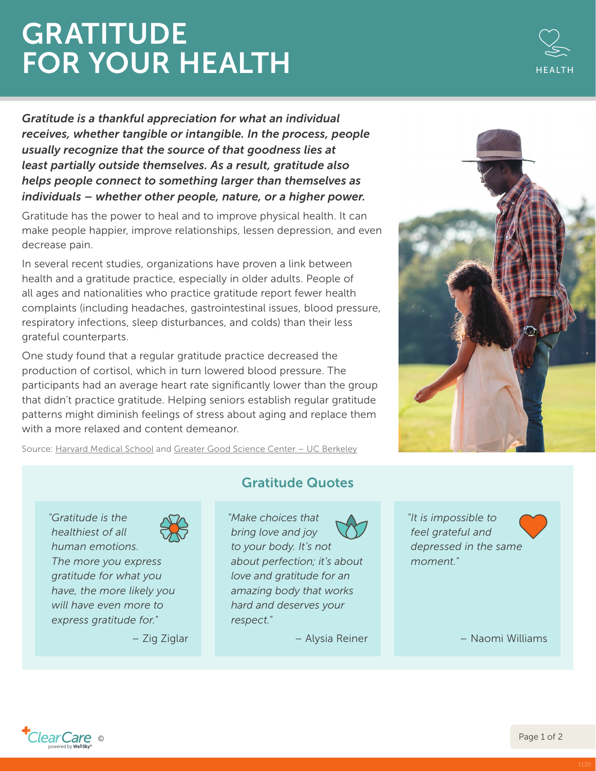## **GRATITUDE** FOR YOUR HEALTH



*Gratitude is a thankful appreciation for what an individual receives, whether tangible or intangible. In the process, people usually recognize that the source of that goodness lies at least partially outside themselves. As a result, gratitude also helps people connect to something larger than themselves as individuals – whether other people, nature, or a higher power.*

Gratitude has the power to heal and to improve physical health. It can make people happier, improve relationships, lessen depression, and even decrease pain.

In several recent studies, organizations have proven a link between health and a gratitude practice, especially in older adults. People of all ages and nationalities who practice gratitude report fewer health complaints (including headaches, gastrointestinal issues, blood pressure, respiratory infections, sleep disturbances, and colds) than their less grateful counterparts.

One study found that a regular gratitude practice decreased the production of cortisol, which in turn lowered blood pressure. The participants had an average heart rate significantly lower than the group that didn't practice gratitude. Helping seniors establish regular gratitude patterns might diminish feelings of stress about aging and replace them with a more relaxed and content demeanor.





*"Gratitude is the healthiest of all human emotions. The more you express gratitude for what you have, the more likely you will have even more to* 

*express gratitude for."*



– Zig Ziglar

Gratitude Quotes

*"Make choices that bring love and joy to your body. It's not about perfection; it's about love and gratitude for an amazing body that works hard and deserves your respect."*

– Alysia Reiner

*"It is impossible to feel grateful and depressed in the same moment."*

– Naomi Williams